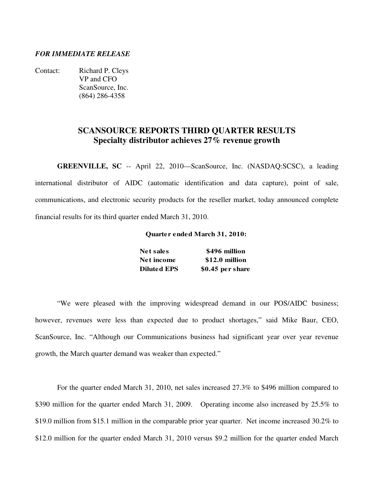## *FOR IMMEDIATE RELEASE*

Contact: Richard P. Cleys VP and CFO ScanSource, Inc. (864) 286-4358

## **SCANSOURCE REPORTS THIRD QUARTER RESULTS Specialty distributor achieves 27% revenue growth**

**GREENVILLE, SC** -- April 22, 2010—ScanSource, Inc. (NASDAQ:SCSC), a leading international distributor of AIDC (automatic identification and data capture), point of sale, communications, and electronic security products for the reseller market, today announced complete financial results for its third quarter ended March 31, 2010.

#### **Quarter ended March 31, 2010:**

| <b>Net sales</b>   | \$496 million    |
|--------------------|------------------|
| Net income         | \$12.0 million   |
| <b>Diluted EPS</b> | \$0.45 per share |

"We were pleased with the improving widespread demand in our POS/AIDC business; however, revenues were less than expected due to product shortages," said Mike Baur, CEO, ScanSource, Inc. "Although our Communications business had significant year over year revenue growth, the March quarter demand was weaker than expected."

For the quarter ended March 31, 2010, net sales increased 27.3% to \$496 million compared to \$390 million for the quarter ended March 31, 2009. Operating income also increased by 25.5% to \$19.0 million from \$15.1 million in the comparable prior year quarter. Net income increased 30.2% to \$12.0 million for the quarter ended March 31, 2010 versus \$9.2 million for the quarter ended March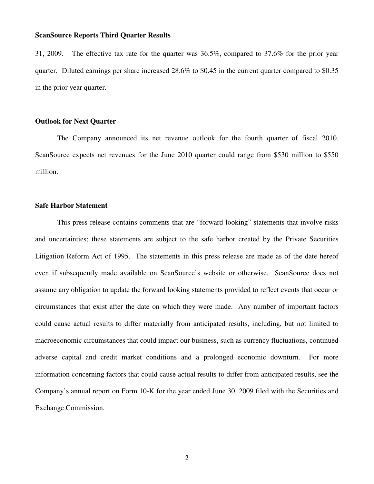31, 2009. The effective tax rate for the quarter was 36.5%, compared to 37.6% for the prior year quarter. Diluted earnings per share increased 28.6% to \$0.45 in the current quarter compared to \$0.35 in the prior year quarter.

#### **Outlook for Next Quarter**

 The Company announced its net revenue outlook for the fourth quarter of fiscal 2010. ScanSource expects net revenues for the June 2010 quarter could range from \$530 million to \$550 million.

#### **Safe Harbor Statement**

 This press release contains comments that are "forward looking" statements that involve risks and uncertainties; these statements are subject to the safe harbor created by the Private Securities Litigation Reform Act of 1995. The statements in this press release are made as of the date hereof even if subsequently made available on ScanSource's website or otherwise. ScanSource does not assume any obligation to update the forward looking statements provided to reflect events that occur or circumstances that exist after the date on which they were made. Any number of important factors could cause actual results to differ materially from anticipated results, including, but not limited to macroeconomic circumstances that could impact our business, such as currency fluctuations, continued adverse capital and credit market conditions and a prolonged economic downturn. For more information concerning factors that could cause actual results to differ from anticipated results, see the Company's annual report on Form 10-K for the year ended June 30, 2009 filed with the Securities and Exchange Commission.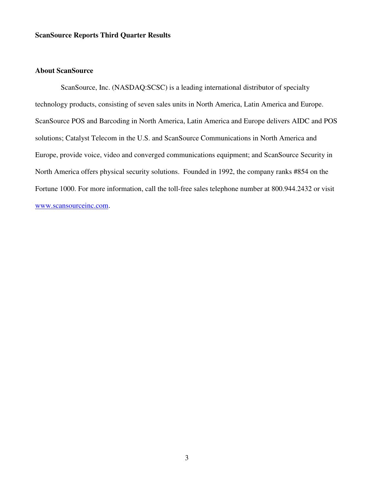## **About ScanSource**

 ScanSource, Inc. (NASDAQ:SCSC) is a leading international distributor of specialty technology products, consisting of seven sales units in North America, Latin America and Europe. ScanSource POS and Barcoding in North America, Latin America and Europe delivers AIDC and POS solutions; Catalyst Telecom in the U.S. and ScanSource Communications in North America and Europe, provide voice, video and converged communications equipment; and ScanSource Security in North America offers physical security solutions. Founded in 1992, the company ranks #854 on the Fortune 1000. For more information, call the toll-free sales telephone number at 800.944.2432 or visit www.scansourceinc.com.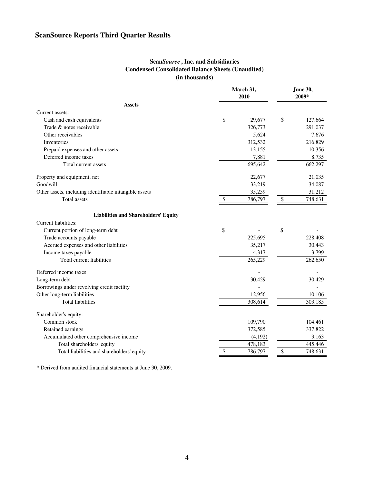## **Scan***Source* **, Inc. and Subsidiaries Condensed Consolidated Balance Sheets (Unaudited) (in thousands)**

|                                                        |                           | March 31,<br>2010 | <b>June 30,</b><br>2009* |         |  |
|--------------------------------------------------------|---------------------------|-------------------|--------------------------|---------|--|
| <b>Assets</b>                                          |                           |                   |                          |         |  |
| Current assets:                                        |                           |                   |                          |         |  |
| Cash and cash equivalents                              | \$                        | 29,677            | \$                       | 127,664 |  |
| Trade & notes receivable                               |                           | 326,773           |                          | 291,037 |  |
| Other receivables                                      |                           | 5,624             |                          | 7,676   |  |
| Inventories                                            |                           | 312,532           |                          | 216,829 |  |
| Prepaid expenses and other assets                      |                           | 13,155            |                          | 10,356  |  |
| Deferred income taxes                                  |                           | 7,881             |                          | 8,735   |  |
| Total current assets                                   |                           | 695,642           |                          | 662,297 |  |
| Property and equipment, net                            |                           | 22,677            |                          | 21,035  |  |
| Goodwill                                               |                           | 33,219            |                          | 34,087  |  |
| Other assets, including identifiable intangible assets |                           | 35,259            |                          | 31,212  |  |
| Total assets                                           | $\boldsymbol{\mathsf{S}}$ | 786,797           | $\mathbb{S}$             | 748,631 |  |
| <b>Liabilities and Shareholders' Equity</b>            |                           |                   |                          |         |  |
| Current liabilities:                                   |                           |                   |                          |         |  |
| Current portion of long-term debt                      | \$                        |                   | \$                       |         |  |
| Trade accounts payable                                 |                           | 225,695           |                          | 228,408 |  |
| Accrued expenses and other liabilities                 |                           | 35,217            |                          | 30,443  |  |
| Income taxes payable                                   |                           | 4,317             |                          | 3,799   |  |
| Total current liabilities                              |                           | 265,229           |                          | 262,650 |  |
| Deferred income taxes                                  |                           |                   |                          |         |  |
| Long-term debt                                         |                           | 30,429            |                          | 30,429  |  |
| Borrowings under revolving credit facility             |                           |                   |                          |         |  |
| Other long-term liabilities                            |                           | 12,956            |                          | 10,106  |  |
| <b>Total liabilities</b>                               |                           | 308,614           |                          | 303,185 |  |
| Shareholder's equity:                                  |                           |                   |                          |         |  |
| Common stock                                           |                           | 109,790           |                          | 104,461 |  |
| Retained earnings                                      |                           | 372,585           |                          | 337,822 |  |
| Accumulated other comprehensive income                 |                           | (4,192)           |                          | 3,163   |  |
| Total shareholders' equity                             |                           | 478,183           |                          | 445,446 |  |
| Total liabilities and shareholders' equity             | \$                        | 786,797           | \$                       | 748,631 |  |

\* Derived from audited financial statements at June 30, 2009.